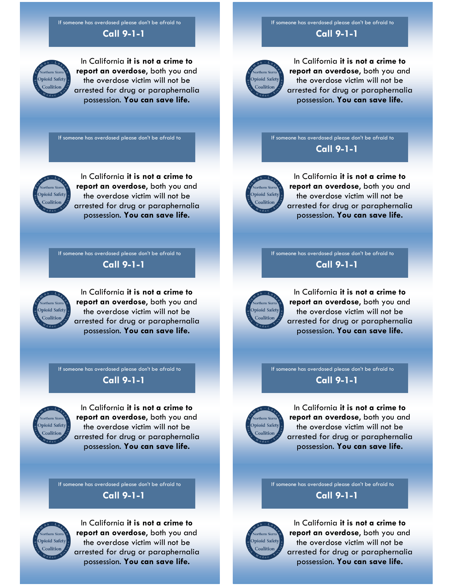**Call 9-1-1** If someone has overdosed please don't be afraid to

## **Dpioid Safet** Coalition

In California **it is not a crime to report an overdose**, both you and the overdose victim will not be arrested for drug or paraphernalia possession. **You can save life.** 

If someone has overdosed please don't be afraid to



In California **it is not a crime to report an overdose**, both you and the overdose victim will not be arrested for drug or paraphernalia possession. **You can save life.** 

If someone has overdosed please don't be afraid to

**Call 9-1-1** 



In California **it is not a crime to report an overdose**, both you and the overdose victim will not be arrested for drug or paraphernalia possession. **You can save life.** 

**Call 9-1-1**  If someone has overdosed please don't be afraid to



In California **it is not a crime to report an overdose**, both you and the overdose victim will not be arrested for drug or paraphernalia possession. **You can save life.** 

If someone has overdosed please don't be afraid to

## **Call 9-1-1**



In California **it is not a crime to report an overdose**, both you and the overdose victim will not be arrested for drug or paraphernalia possession. **You can save life.** 

If someone has overdosed please don't be afraid to

## **Call 9-1-1**



In California **it is not a crime to report an overdose**, both you and the overdose victim will not be arrested for drug or paraphernalia possession. **You can save life.** 

**Call 9-1-1**  If someone has overdosed please don't be afraid to



In California **it is not a crime to report an overdose**, both you and the overdose victim will not be arrested for drug or paraphernalia possession. **You can save life.** 

**Call 9-1-1**  If someone has overdosed please don't be afraid to



In California **it is not a crime to report an overdose**, both you and the overdose victim will not be arrested for drug or paraphernalia possession. **You can save life.** 

**Call 9-1-1**  If someone has overdosed please don't be afraid to



In California **it is not a crime to report an overdose**, both you and the overdose victim will not be arrested for drug or paraphernalia possession. **You can save life.** 

If someone has overdosed please don't be afraid to

**Call 9-1-1** 



In California **it is not a crime to report an overdose**, both you and the overdose victim will not be arrested for drug or paraphernalia possession. **You can save life.**